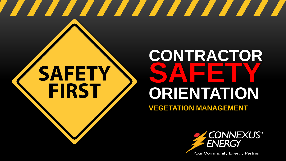# **SAFETY FIRST**

# **CONTRACTOR SAFETY ORIENTATION VEGETATION MANAGEMENT**

<u> The Community of the Community of the Community of the Community of the Community of the Community of the Community of the Community of the Community of the Community of the Community of the Community of the Community of</u>



**Your Community Energy Partner**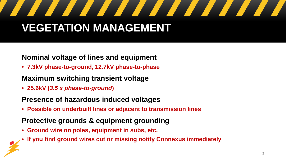# **VEGETATION MANAGEMENT**

### **Nominal voltage of lines and equipment**

• **7.3kV phase-to-ground, 12.7kV phase-to-phase**

## **Maximum switching transient voltage**

• **25.6kV (***3.5 x phase-to-ground***)**

## **Presence of hazardous induced voltages**

• **Possible on underbuilt lines or adjacent to transmission lines**

#### **Protective grounds & equipment grounding**

- **Ground wire on poles, equipment in subs, etc.**
- **If you find ground wires cut or missing notify Connexus immediately**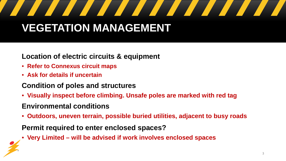# **VEGETATION MANAGEMENT**

### **Location of electric circuits & equipment**

- **Refer to Connexus circuit maps**
- **Ask for details if uncertain**

### **Condition of poles and structures**

• **Visually inspect before climbing. Unsafe poles are marked with red tag** 

### **Environmental conditions**

• **Outdoors, uneven terrain, possible buried utilities, adjacent to busy roads**

#### **Permit required to enter enclosed spaces?**

• **Very Limited – will be advised if work involves enclosed spaces**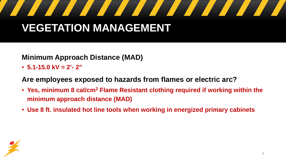# **Sold**

## **VEGETATION MANAGEMENT**

#### **Minimum Approach Distance (MAD)**

• **5.1-15.0 kV = 2'- 2"**

**Are employees exposed to hazards from flames or electric arc?** 

- **Yes, minimum 8 cal/cm2 Flame Resistant clothing required if working within the minimum approach distance (MAD)**
- **Use 8 ft. insulated hot line tools when working in energized primary cabinets**

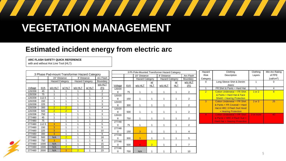# <u> 1950 - Johann Stein, Amerikaansk kanton om de gruppe om de gruppe om de gruppe om de gruppe om de gruppe om d</u>

## **VEGETATION MANAGEMENT**

### **Estimated incident energy from electric arc**

#### **ARC FLASH SAFETY QUICK REFERENCE**

with and without Hot Line Tool (HLT)

|                                               |       |                 |                |                 |       |                | 3 Ph Pole-Mounted Transformer Hazard Category |              |                        |                |                        |            |                | Hazard         | Clothing                             | Clothing  | Min Arc Rating         |
|-----------------------------------------------|-------|-----------------|----------------|-----------------|-------|----------------|-----------------------------------------------|--------------|------------------------|----------------|------------------------|------------|----------------|----------------|--------------------------------------|-----------|------------------------|
| 3 Phase Pad-mount Transformer Hazard Category |       |                 |                |                 |       |                |                                               | 15" Distance |                        | 8' Distance    |                        | Arc Flash  | <b>Risk</b>    | Description    | Layers                               | of PPE    |                        |
|                                               |       | 15" Distance    |                | 8' Distance     |       | Arc Flash      |                                               |              | <b>Hazard Category</b> |                | <b>Hazard Category</b> |            | Boundary       | Category       |                                      |           | (cal/cm <sup>2</sup> ) |
|                                               |       | Hazard Category |                | Hazard Category |       | Boundary       |                                               |              |                        | w/             |                        | <u>w/</u>  | w/o HLT        | 0              | Long Sleeve Shirt & Denim            |           | 0                      |
|                                               |       |                 |                |                 |       | w/o HLT        | Voltage                                       | kVA          | w/o HLT                | <b>HLT</b>     | w/o HLT                | <b>HLT</b> | (Ft)           |                | Jeans                                |           |                        |
| Voltage                                       | kVA   | w/o HLT         | w/HLT          | w/o HLT         | w/HLT | (Ft)           | 120/20                                        |              |                        |                |                        |            |                |                | FR Shirt & Pants + Hard Hat          |           | $\overline{4}$         |
| 120/208                                       | 45    |                 |                |                 |       | $\overline{2}$ | 8                                             | 75           |                        |                |                        |            | 2              | $\overline{2}$ | Cotton Underwear + FR Shirt          | 1 or 2    | 8                      |
| 120/208                                       | 75    |                 |                |                 |       | 2              | 120/20                                        |              |                        |                |                        |            |                |                | & Pants + Hard Hat & Face            |           |                        |
| 120/208                                       | 112.5 |                 |                |                 |       | 3              | 8                                             | 150          |                        |                |                        |            | 2              |                | <b>Shield + Hearing Protection</b>   |           |                        |
| 120/208                                       | 150   |                 |                |                 |       | 3              | 120/20                                        |              |                        |                |                        |            |                | 3              | Cotton Underwear + FR Shirt          | 2 or 3    | 25                     |
| 120/208                                       | 225   |                 |                |                 |       | 3              | 8                                             | 300          |                        |                |                        |            | 2              |                | & Pants + FR Coverall + Hard         |           |                        |
| 120/208                                       | 300   | $\overline{2}$  | 2 <sup>1</sup> |                 |       | $\overline{4}$ | 120/20                                        |              |                        |                |                        |            |                |                | Hat & HRC 3 Flash Suit Hood          |           |                        |
| 120/208                                       | 500   | $\overline{2}$  | 2 <sup>1</sup> |                 |       |                |                                               | 500          |                        |                |                        |            | 2              |                | + Hearing Protection                 |           |                        |
| 120/208                                       | 750   |                 |                |                 |       | 3              | 120/20                                        |              |                        |                |                        |            |                | $\overline{4}$ | <b>Cotton Underwear + FR Shirt</b>   | 3 or more | 40                     |
| 277/480                                       | 45    |                 |                |                 |       |                |                                               | 750          |                        |                |                        |            | 2              |                | & Pants + HRC 4 Flash Suit +         |           |                        |
| 277/480                                       | 75    |                 |                |                 |       | $\overline{2}$ | 277/48                                        |              |                        |                |                        |            |                |                | <b>Hard Hat + Hearing Protection</b> |           |                        |
| 277/480                                       | 112.5 | $\overline{3}$  |                |                 |       | 5              | ∩                                             | 75           |                        |                |                        |            | 2              |                |                                      |           |                        |
| 277/480                                       | 150   | 3               |                |                 |       | 5              | 277/48                                        |              |                        |                |                        |            |                |                |                                      |           |                        |
| 277/480                                       | 225   | 3               |                |                 |       | 10             | U                                             | 150          | 3                      |                |                        |            | $\overline{4}$ |                |                                      |           |                        |
| 277/480                                       | 300   | 3               |                |                 |       | 9              | 277/48                                        |              |                        |                |                        |            |                |                |                                      |           |                        |
| 277/480                                       | 500   | N/A             | 2 <sup>1</sup> |                 |       | 18             | 0                                             | 300          | 3                      |                |                        |            | .5             |                |                                      |           |                        |
| 277/480                                       | 750   | 3               |                |                 |       | 8              | 277/48                                        |              |                        |                |                        |            |                |                |                                      |           |                        |
| 277/480                                       | 1000  | N/A             |                |                 |       | 15             | 0                                             | 500          | $\blacktriangle$       | 2 <sup>1</sup> |                        |            | 7              |                |                                      |           |                        |
| 277/480                                       | 1500  | N/A             | 2 <sup>2</sup> |                 |       | 18             | 277/48                                        |              |                        |                |                        |            |                |                |                                      |           |                        |
| 277/480                                       | 2000  | N/A             | 3              | $\overline{2}$  |       | 23             |                                               | 750          | N/A                    |                |                        |            | 10             |                |                                      |           |                        |
|                                               |       |                 |                |                 |       |                |                                               |              |                        |                |                        |            |                |                |                                      |           |                        |

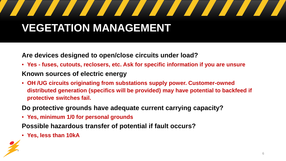# **VEGETATION MANAGEMENT**

**Are devices designed to open/close circuits under load?** 

- **Yes - fuses, cutouts, reclosers, etc. Ask for specific information if you are unsure Known sources of electric energy**
- **OH /UG circuits originating from substations supply power. Customer-owned distributed generation (specifics will be provided) may have potential to backfeed if protective switches fail.**

**Do protective grounds have adequate current carrying capacity?** 

• **Yes, minimum 1/0 for personal grounds**

**Possible hazardous transfer of potential if fault occurs?** 

• **Yes, less than 10kA**